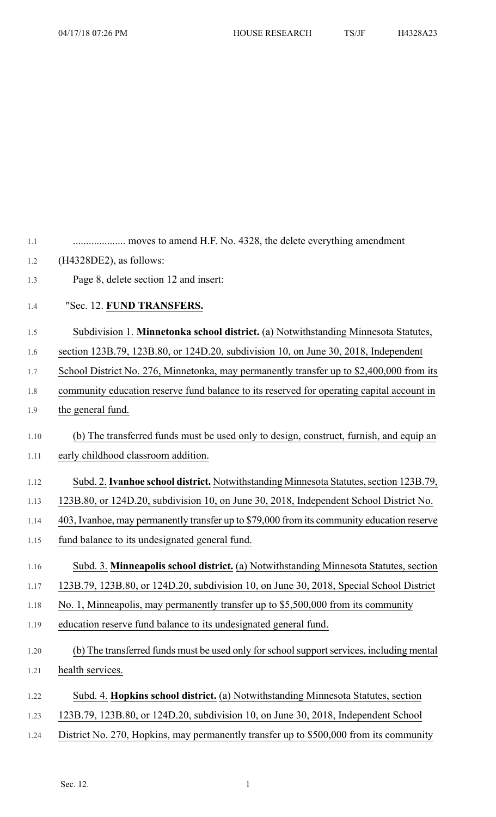| 1.1  |                                                                                            |
|------|--------------------------------------------------------------------------------------------|
| 1.2  | $(H4328DE2)$ , as follows:                                                                 |
| 1.3  | Page 8, delete section 12 and insert:                                                      |
| 1.4  | "Sec. 12. FUND TRANSFERS.                                                                  |
| 1.5  | Subdivision 1. Minnetonka school district. (a) Notwithstanding Minnesota Statutes,         |
| 1.6  | section 123B.79, 123B.80, or 124D.20, subdivision 10, on June 30, 2018, Independent        |
| 1.7  | School District No. 276, Minnetonka, may permanently transfer up to \$2,400,000 from its   |
| 1.8  | community education reserve fund balance to its reserved for operating capital account in  |
| 1.9  | the general fund.                                                                          |
| 1.10 | (b) The transferred funds must be used only to design, construct, furnish, and equip an    |
| 1.11 | early childhood classroom addition.                                                        |
| 1.12 | Subd. 2. Ivanhoe school district. Notwithstanding Minnesota Statutes, section 123B.79,     |
| 1.13 | 123B.80, or 124D.20, subdivision 10, on June 30, 2018, Independent School District No.     |
| 1.14 | 403, Ivanhoe, may permanently transfer up to \$79,000 from its community education reserve |
| 1.15 | fund balance to its undesignated general fund.                                             |
| 1.16 | Subd. 3. Minneapolis school district. (a) Notwithstanding Minnesota Statutes, section      |
| 1.17 | 123B.79, 123B.80, or 124D.20, subdivision 10, on June 30, 2018, Special School District    |
| 1.18 | No. 1, Minneapolis, may permanently transfer up to \$5,500,000 from its community          |
| 1.19 | education reserve fund balance to its undesignated general fund.                           |
| 1.20 | (b) The transferred funds must be used only for school support services, including mental  |
| 1.21 | health services.                                                                           |
|      |                                                                                            |
| 1.22 | Subd. 4. Hopkins school district. (a) Notwithstanding Minnesota Statutes, section          |
| 1.23 | 123B.79, 123B.80, or 124D.20, subdivision 10, on June 30, 2018, Independent School         |
| 1.24 | District No. 270, Hopkins, may permanently transfer up to \$500,000 from its community     |